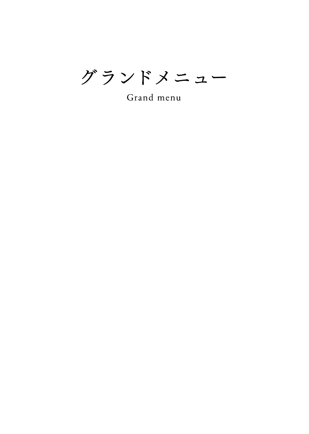グランドメニュー

Grand menu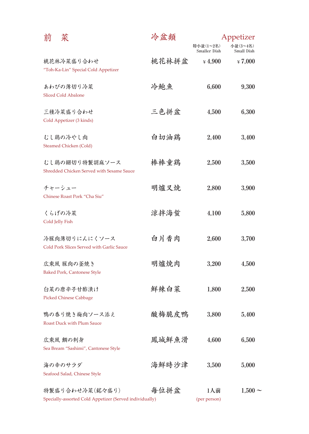| 前 | 菜                                                                          | 冷盆類   | Appetizer                 |                        |
|---|----------------------------------------------------------------------------|-------|---------------------------|------------------------|
|   |                                                                            |       | 特小盆(1~2名)<br>Smaller Dish | 小盆(3~4名)<br>Small Dish |
|   | 桃花林冷菜盛り合わせ<br>"Toh-Ka-Lin" Special Cold Appetizer                          | 桃花林拼盆 | $*4,900$                  | $\frac{1}{2}$ 7,000    |
|   | あわびの薄切り冷菜<br><b>Sliced Cold Abalone</b>                                    | 冷鮑魚   | 6,600                     | 9,300                  |
|   | 三種冷菜盛り合わせ<br>Cold Appetizer (3 kinds)                                      | 三色拼盆  | 4,500                     | 6,300                  |
|   | むし鶏の冷やし肉<br><b>Steamed Chicken (Cold)</b>                                  | 白切油鶏  | 2,400                     | 3,400                  |
|   | むし鶏の細切り特製胡麻ソース<br>Shredded Chicken Served with Sesame Sauce                | 棒棒童鶏  | 2,500                     | 3,500                  |
|   | チャーシュー<br>Chinese Roast Pork "Cha Siu"                                     | 明爐叉焼  | 2,800                     | 3,900                  |
|   | くらげの冷菜<br>Cold Jelly Fish                                                  | 涼拌海蜇  | 4,100                     | 5,800                  |
|   | 冷豚肉薄切りにんにくソース<br>Cold Pork Slices Served with Garlic Sauce                 | 白片香肉  | 2,600                     | 3,700                  |
|   | 広東風 豚肉の釜焼き<br><b>Baked Pork, Cantonese Style</b>                           | 明爐焼肉  | 3,200                     | 4,500                  |
|   | 白菜の唐辛子甘酢漬け<br><b>Picked Chinese Cabbage</b>                                | 鮮辣白菜  | 1,800                     | 2,500                  |
|   | 鴨の香り焼き梅肉ソース添え<br><b>Roast Duck with Plum Sauce</b>                         | 酸梅脆皮鴨 | 3,800                     | 5,400                  |
|   | 広東風 鯛の刺身<br>Sea Bream "Sashimi", Cantonese Style                           | 鳳城鮮魚滑 | 4,600                     | 6,500                  |
|   | 海の幸のサラダ<br>Seafood Salad, Chinese Style                                    | 海鮮時沙津 | 3,500                     | 5,000                  |
|   | 特製盛り合わせ冷菜(銘々盛り)<br>Specially-assorted Cold Appetizer (Served individually) | 每位拼盆  | 1人前<br>(per person)       | $1,500 \sim$           |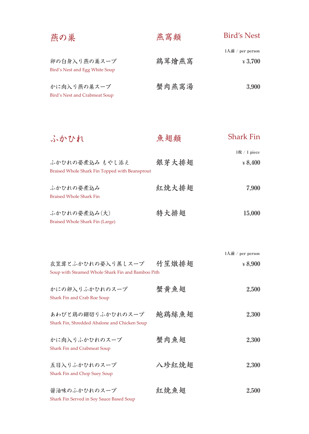| 燕の巣                                                                                | 燕窩類   | Bird's Nest               |
|------------------------------------------------------------------------------------|-------|---------------------------|
|                                                                                    |       | 1人前 / per person          |
| 卵の白身入り燕の巣スープ<br>Bird's Nest and Egg White Soup                                     | 鶏茸燴燕窩 | $*3,700$                  |
| かに肉入り燕の巣スープ<br><b>Bird's Nest and Crabmeat Soup</b>                                | 蟹肉燕窩湯 | 3,900                     |
|                                                                                    |       |                           |
| ふかひれ                                                                               | 魚翅類   | <b>Shark Fin</b>          |
|                                                                                    |       | 1枚 / 1 piece              |
| ふかひれの姿煮込み もやし添え<br>Braised Whole Shark Fin Topped with Beansprout                  | 银芽大排翅 | $\frac{1}{2} 8,400$       |
| ふかひれの姿煮込み                                                                          | 紅焼大排翅 | 7,900                     |
| <b>Braised Whole Shark Fin</b>                                                     |       |                           |
| ふかひれの姿煮込み(大)                                                                       | 特大排翅  | 15,000                    |
| Braised Whole Shark Fin (Large)                                                    |       |                           |
|                                                                                    |       |                           |
|                                                                                    |       | $1\lambda$ 前 / per person |
| 衣笠茸とふかひれの姿入り蒸しスープ   竹 笙 燉 排 翅<br>Soup with Steamed Whole Shark Fin and Bamboo Pith |       | $*8,900$                  |
| かにの卵入りふかひれのスープ                                                                     | 蟹黄魚翅  | 2,500                     |
| Shark Fin and Crab Roe Soup                                                        |       |                           |
| あわびと鶏の細切りふかひれのスープ                                                                  | 鮑鶏絲魚翅 | 2,300                     |
| Shark Fin, Shredded Abalone and Chicken Soup                                       |       |                           |
| かに肉入りふかひれのスープ                                                                      | 蟹肉魚翅  | 2,300                     |
| <b>Shark Fin and Crabmeat Soup</b>                                                 |       |                           |
| 五目入りふかひれのスープ                                                                       | 八珍紅焼翅 | 2,300                     |
| Shark Fin and Chop Suey Soup                                                       |       |                           |
| 醤油味のふかひれのスープ                                                                       | 紅焼魚翅  | 2,500                     |
| Shark Fin Served in Soy Sauce Based Soup                                           |       |                           |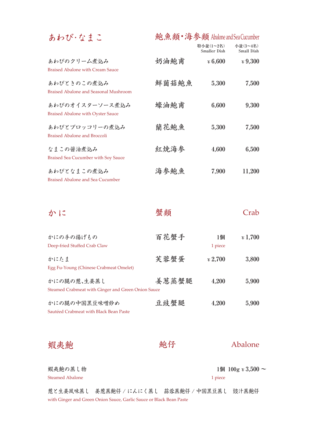## あわび・なまこ **鮑魚類**・**海参類** Abalone andSeaCucumber **特小盆(1~2名) 小盆(3~4名)**

|                                                             |       | 1979 LUL VIII 471 /<br>Smaller Dish | ションコエル ハンター・エンコーノー<br>Small Dish |
|-------------------------------------------------------------|-------|-------------------------------------|----------------------------------|
| あわびのクリーム煮込み<br>Braised Abalone with Cream Sauce             | 奶油鮑甫  | $\frac{1}{2}6,600$                  | $*9,300$                         |
| あわびときのこの煮込み<br>Braised Abalone and Seasonal Mushroom        | 鮮菌菇鮑魚 | 5,300                               | 7,500                            |
| あわびのオイスターソース煮込み<br><b>Braised Abalone with Oyster Sauce</b> | 蠔油鮑甫  | 6,600                               | 9,300                            |
| あわびとブロッコリーの煮込み<br>Braised Abalone and Broccoli              | 蘭花鮑魚  | 5,300                               | 7,500                            |
| なまこの醤油煮込み<br><b>Braised Sea Cucumber with Soy Sauce</b>     | 紅焼海参  | 4,600                               | 6,500                            |
| あわびとなまこの煮込み<br>Braised Abalone and Sea Cucumber             | 海参鮑魚  | 7,900                               | 11,200                           |
|                                                             |       |                                     |                                  |

| かに                                                                | 蟹類    |                     | Crab                |
|-------------------------------------------------------------------|-------|---------------------|---------------------|
| かにの手の揚げもの<br>Deep-fried Stuffed Crab Claw                         | 百花蟹手  | 1個<br>1 piece       | $\frac{1}{2}$ 1.700 |
| かにたま<br>Egg Fu-Young (Chinese Crabmeat Omelet)                    | 芙蓉蟹蛋  | $\frac{1}{2}$ 2.700 | 3,800               |
| かにの腿の葱、生姜蒸し<br>Steamed Crabmeat with Ginger and Green Onion Sauce | 姜葱蒸蟹腿 | 4,200               | 5,900               |
| かにの腿の中国黒豆味噌炒め<br>Sautéed Crabmeat with Black Bean Paste           | 豆豉蟹腿  | 4,200               | 5,900               |

蝦夷鮑

 **鮑仔**

## Abalone

Steamed Abalone 蝦夷鮑の蒸し物 **1個 100g ¥ 3,500 ~**

1 piece

with Ginger and Green Onion Sauce, Garlic Sauce or Black Bean Paste 葱と生姜風味蒸し 姜葱蒸鮑仔 / にんにく蒸し 蒜蓉蒸鮑仔 / 中国黒豆蒸し 豉汁蒸鮑仔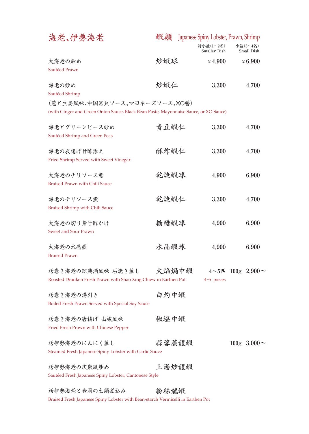| 海老、伊勢海老                                                                                                               | 蝦類    |                           | Japanese Spiny Lobster, Prawn, Shrimp |
|-----------------------------------------------------------------------------------------------------------------------|-------|---------------------------|---------------------------------------|
|                                                                                                                       |       | 特小盆(1~2名)<br>Smaller Dish | 小盆(3~4名)<br>Small Dish                |
| 大海老の炒め<br>Sautéed Prawn                                                                                               | 炒蝦球   | $*4,900$                  | $*6,900$                              |
| 海老の炒め<br>Sautéed Shrimp                                                                                               | 炒蝦仁   | 3,300                     | 4,700                                 |
| (葱と生姜風味、中国黒豆ソース、マヨネーズソース、XO醤)<br>(with Ginger and Green Onion Sauce, Black Bean Paste, Mayonnaise Sauce, or XO Sauce) |       |                           |                                       |
| 海老とグリーンピース炒め<br>Sautéed Shrimp and Green Peas                                                                         | 青豆蝦仁  | 3,300                     | 4,700                                 |
| 海老の衣揚げ甘酢添え<br>Fried Shrimp Served with Sweet Vinegar                                                                  | 酥炸蝦仁  | 3,300                     | 4,700                                 |
| 大海老のチリソース煮<br><b>Braised Prawn with Chili Sauce</b>                                                                   | 乾焼蝦球  | 4,900                     | 6,900                                 |
| 海老のチリソース煮<br><b>Braised Shrimp with Chili Sauce</b>                                                                   | 乾焼蝦仁  | 3,300                     | 4,700                                 |
| 大海老の切り身甘酢かけ<br><b>Sweet and Sour Prawn</b>                                                                            | 糖醋蝦球  | 4,900                     | 6,900                                 |
| 大海老の水晶煮<br><b>Braised Prawn</b>                                                                                       | 水晶蝦球  | 4,900                     | 6,900                                 |
| 活巻き海老の紹興酒風味 石焼き蒸し<br>Roasted Dranken Fresh Prawn with Shao Xing Chiew in Earthen Pot                                  | 火焰焗中蝦 | $4-5$ pieces              | $4 \sim 5$ 匹 100g 2,900 $\sim$        |
| 活巻き海老の湯引き<br>Boiled Fresh Prawn Served with Special Soy Sauce                                                         | 白灼中蝦  |                           |                                       |
| 活巻き海老の唐揚げ 山椒風味<br>Fried Fresh Prawn with Chinese Pepper                                                               | 椒塩中蝦  |                           |                                       |
| 活伊勢海老のにんにく蒸し<br>Steamed Fresh Japanese Spiny Lobster with Garlic Sauce                                                | 蒜蓉蒸龍蝦 |                           | $100g \t3.000 \sim$                   |
| 活伊勢海老の広東風炒め<br>Sautéed Fresh Japanese Spiny Lobster, Cantonese Style                                                  | 上汤炒龍蝦 |                           |                                       |
| 活伊勢海老と春雨の土鍋煮込み                                                                                                        | 粉絲龍蝦  |                           |                                       |

Braised Fresh Japanese Spiny Lobster with Bean-starch Vermicelli in Earthen Pot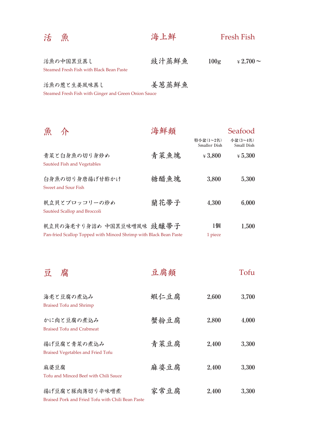| 活<br>魚                                   | 海上鮮   | <b>Fresh Fish</b> |                      |  |
|------------------------------------------|-------|-------------------|----------------------|--|
| 活魚の中国黒豆蒸し                                | 豉汁蒸鮮魚 | 100g              | $\frac{1}{2}2.700$ ~ |  |
| Steamed Fresh Fish with Black Bean Paste |       |                   |                      |  |

| 活魚の葱と生姜風味蒸し                                          | 姜葱蒸鮮魚 |
|------------------------------------------------------|-------|
| Steamed Fresh Fish with Ginger and Green Onion Sauce |       |

**特小盆(1~2名) Smaller Dish 小盆(3~4名) Small Dish 1個** Sautéed Fish and Vegetables Sweet and Sour Fish Sautéed Scallop and Broccoli Pan-fried Scallop Topped with Minced Shrimp with Black Bean Paste 1 piece 魚 介 青菜と白身魚の切り身炒め 白身魚の切り身唐揚げ甘酢かけ 帆立貝とブロッコリーの炒め 帆立貝の海老すり身詰め 中国黒豆味噌風味 **豉醸帯子 ¥ 3,800 3,800 4,300 ¥ 5,300 5,300 6,000 1,500 青菜魚塊 糖醋魚塊 蘭花帯子 海鮮類** Seafood

Braised Tofu and Shrimp Braised Tofu and Crabmeat Braised Vegetables and Fried Tofu Tofu and Minced Beef with Chili Sauce Braised Pork and Fried Tofu with Chili Bean Paste 豆 腐 海老と豆腐の煮込み かに肉と豆腐の煮込み 揚げ豆腐と青菜の煮込み 麻婆豆腐 揚げ豆腐と豚肉薄切り辛味噌煮 **2,600 2,800 2,400 2,400 2,400 3,700 4,000 3,300 3,300 3,300 蝦仁豆腐 蟹粉豆腐 青菜豆腐 麻婆豆腐 家常豆腐 豆腐類** Tofu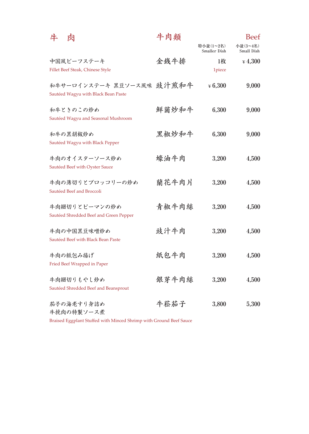| 牛<br>肉                                 | 牛肉類   |                           | <b>Beef</b>            |
|----------------------------------------|-------|---------------------------|------------------------|
|                                        |       | 特小盆(1~2名)<br>Smaller Dish | 小盆(3~4名)<br>Small Dish |
| 中国風ビーフステーキ                             | 金銭牛排  | 1枚                        | $*4,300$               |
| Fillet Beef Steak, Chinese Style       |       | 1piece                    |                        |
| 和牛サーロインステーキ 黒豆ソース風味 豉汁煎和牛              |       | $*6.300$                  | 9,000                  |
| Sautéed Wagyu with Black Bean Paste    |       |                           |                        |
| 和牛ときのこの炒め                              | 鮮菌炒和牛 | 6,300                     | 9,000                  |
| Sautéed Wagyu and Seasonal Mushroom    |       |                           |                        |
| 和牛の黒胡椒炒め                               | 黑椒炒和牛 | 6.300                     |                        |
| Sautéed Wagyu with Black Pepper        |       |                           | 9,000                  |
|                                        |       |                           |                        |
| 牛肉のオイスターソース炒め                          | 蠔油牛肉  | 3,200                     | 4,500                  |
| Sautéed Beef with Oyster Sauce         |       |                           |                        |
| 牛肉の薄切りとブロッコリーの炒め                       | 蘭花牛肉片 | 3,200                     | 4,500                  |
| Sautéed Beef and Broccoli              |       |                           |                        |
| 牛肉細切りとピーマンの炒め                          | 青椒牛肉絲 | 3,200                     | 4,500                  |
| Sautéed Shredded Beef and Green Pepper |       |                           |                        |
| 牛肉の中国黒豆味噌炒め                            | 豉汁牛肉  | 3,200                     | 4,500                  |
| Sautéed Beef with Black Bean Paste     |       |                           |                        |
|                                        |       |                           |                        |
| 牛肉の紙包み揚げ                               | 紙包牛肉  | 3,200                     | 4,500                  |
| Fried Beef Wrapped in Paper            |       |                           |                        |
| 牛肉細切りもやし炒め                             | 银芽牛肉絲 | 3,200                     | 4,500                  |
| Sautéed Shredded Beef and Beansprout   |       |                           |                        |
| 茄子の海老すり身詰め                             | 牛菘茄子  | 3,800                     | 5,300                  |
| 牛挽肉の特製ソース煮                             |       |                           |                        |

Braised Eggplant Stuffed with Minced Shrimp with Ground Beef Sauce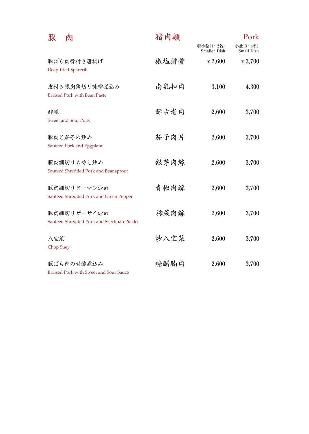| 豚<br>肉                                                    | 猪肉類  |                           | Pork                   |
|-----------------------------------------------------------|------|---------------------------|------------------------|
|                                                           |      | 特小盆(1~2名)<br>Smaller Dish | 小盆(3~4名)<br>Small Dish |
| 豚ばら肉骨付き唐揚げ<br>Deep-fried Sparerib                         | 椒塩排骨 | $\frac{1}{2}$ 2,600       | $\frac{1}{2}3,700$     |
| 皮付き豚肉角切り味噌煮込み<br><b>Braised Pork with Bean Paste</b>      | 南乳扣肉 | 3,100                     | 4,300                  |
| 酢豚<br><b>Sweet and Sour Pork</b>                          | 酥古老肉 | 2,600                     | 3,700                  |
| 豚肉と茄子の炒め<br>Sautéed Pork and Eggplant                     | 茄子肉片 | 2,600                     | 3,700                  |
| 豚肉細切りもやし炒め<br>Sautéed Shredded Pork and Beansprout        | 銀芽肉絲 | 2,600                     | 3,700                  |
| 豚肉細切りピーマン炒め<br>Sautéed Shredded Pork and Green Pepper     | 青椒肉絲 | 2,600                     | 3,700                  |
| 豚肉細切りザーサイ炒め<br>Sautéed Shredded Pork and Szechuan Pickles | 榨菜肉絲 | 2,600                     | 3,700                  |
| 八宝菜<br>Chop Suey                                          | 炒八宝菜 | 2,600                     | 3,700                  |
| 豚ばら肉の甘酢煮込み<br>Braised Pork with Sweet and Sour Sauce      | 糖醋腩肉 | 2,600                     | 3,700                  |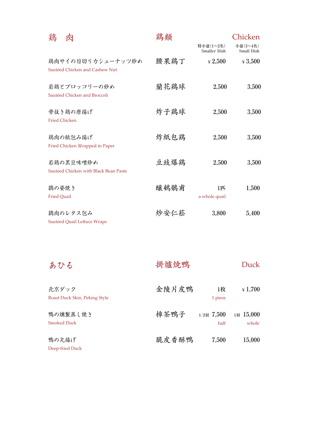| 鶏                           |                                                     | 鶏類   |                           | Chicken                |
|-----------------------------|-----------------------------------------------------|------|---------------------------|------------------------|
|                             |                                                     |      | 特小盆(1~2名)<br>Smaller Dish | 小盆(3~4名)<br>Small Dish |
|                             | 鶏肉サイの目切りカシューナッツ炒め<br>Sautéed Chicken and Cashew Nut | 腰果鶏丁 | $\frac{1}{2}2,500$        | $\frac{1}{4}3,500$     |
|                             | 若鶏とブロッコリーの炒め<br>Sautéed Chicken and Broccoli        | 蘭花鶏球 | 2,500                     | 3,500                  |
| <b>Fried Chicken</b>        | 骨抜き鶏の唐揚げ                                            | 炸子鶏球 | 2,500                     | 3,500                  |
|                             | 鶏肉の紙包み揚げ<br>Fried Chicken Wrapped in Paper          | 炸紙包鶏 | 2,500                     | 3,500                  |
|                             | 若鶏の黒豆味噌炒め<br>Sautéed Chicken with Black Bean Paste  | 豆豉爆鶏 | 2,500                     | 3,500                  |
| 鶉の姿焼き<br><b>Fried Quail</b> |                                                     | 醸鵪鶺甫 | 1匹<br>a whole quail       | 1,500                  |
|                             | 鶉肉のレタス包み<br>Sautéed Quail Lettuce Wraps             | 炒安仁菘 | 3,800                     | 5,400                  |

| あひる                                    | 掛爐焼鴨  |                       | Duck                |
|----------------------------------------|-------|-----------------------|---------------------|
| 北京ダック<br>Roast Duck Skin, Peking Style | 金陵片皮鴨 | 1枚<br>1 piece         | $\frac{1}{2}$ 1.700 |
| 鴨の燻製蒸し焼き<br><b>Smoked Duck</b>         | 樟茶鴨子  | $1/2$ 羽 7.500<br>half | 1羽 15,000<br>whole  |
| 鴨の丸揚げ<br>Deep-fried Duck               | 脆皮香酥鴨 | 7,500                 | 15,000              |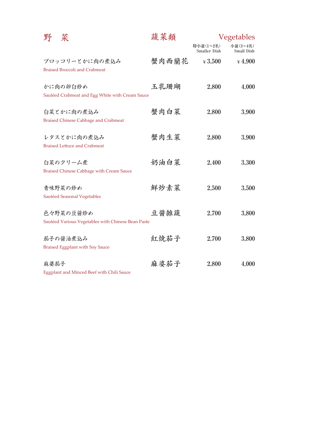| 野    | 菜                                                               | 蔬菜類   |                           | Vegetables             |
|------|-----------------------------------------------------------------|-------|---------------------------|------------------------|
|      |                                                                 |       | 特小盆(1~2名)<br>Smaller Dish | 小盆(3~4名)<br>Small Dish |
|      | ブロッコリーとかに肉の煮込み<br><b>Braised Broccoli and Crabmeat</b>          | 蟹肉西蘭花 | $*3,500$                  | $*4,900$               |
|      | かに肉の卵白炒め<br>Sautéed Crabmeat and Egg White with Cream Sauce     | 玉乳珊瑚  | 2,800                     | 4,000                  |
|      | 白菜とかに肉の煮込み<br><b>Braised Chinese Cabbage and Crabmeat</b>       | 蟹肉白菜  | 2,800                     | 3,900                  |
|      | レタスとかに肉の煮込み<br><b>Braised Lettuce and Crabmeat</b>              | 蟹肉生菜  | 2,800                     | 3,900                  |
|      | 白菜のクリーム煮<br><b>Braised Chinese Cabbage with Cream Sauce</b>     | 奶油白菜  | 2,400                     | 3,300                  |
|      | 青味野菜の炒め<br>Sautéed Seasonal Vegetables                          | 鮮炒素菜  | 2,500                     | 3,500                  |
|      | 色々野菜の豆醤炒め<br>Sautéed Various Vegetables with Chinese Bean Paste | 豆醤雑蔬  | 2,700                     | 3,800                  |
|      | 茄子の醤油煮込み<br><b>Braised Eggplant with Soy Sauce</b>              | 紅焼茄子  | 2,700                     | 3,800                  |
| 麻婆茄子 | Eggplant and Minced Beef with Chili Sauce                       | 麻婆茄子  | 2,800                     | 4,000                  |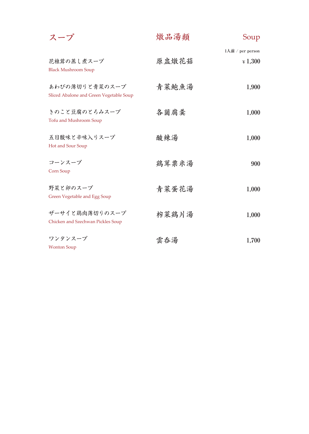| スープ                                                       | 燉品湯類  | Soup                            |
|-----------------------------------------------------------|-------|---------------------------------|
| 花椎茸の蒸し煮スープ<br><b>Black Mushroom Soup</b>                  | 原盅燉花菇 | 1人前 / per person<br>$\pm 1,300$ |
| あわびの薄切りと青菜のスープ<br>Sliced Abalone and Green Vegetable Soup | 青菜鮑魚湯 | 1,900                           |
| きのこと豆腐のとろみスープ<br>Tofu and Mushroom Soup                   | 各菌腐羹  | 1,000                           |
| 五目酸味と辛味入りスープ<br>Hot and Sour Soup                         | 酸辣湯   | 1,000                           |
| コーンスープ<br>Corn Soup                                       | 鶏茸粟米湯 | 900                             |
| 野菜と卵のスープ<br>Green Vegetable and Egg Soup                  | 青菜蛋花湯 | 1,000                           |
| ザーサイと鶏肉薄切りのスープ<br>Chicken and Szechwan Pickles Soup       | 榨菜鶏片湯 | 1,000                           |
| ワンタンスープ<br><b>Wonton Soup</b>                             | 雲呑湯   | 1,700                           |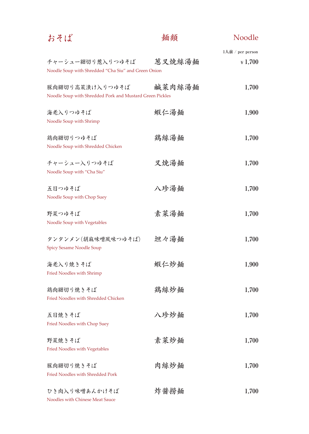| おそば                                                                         | 麺類     | <b>Noodle</b>                                                         |
|-----------------------------------------------------------------------------|--------|-----------------------------------------------------------------------|
|                                                                             |        | $1\overrightarrow{\text{A}}$ $\overrightarrow{\text{B}}$ / per person |
| チャーシュー細切り葱入りつゆそば<br>Noodle Soup with Shredded "Cha Siu" and Green Onion     | 葱叉焼絲湯麺 | $\frac{1}{2}$ 1,700                                                   |
| 豚肉細切り高菜漬け入りつゆそば<br>Noodle Soup with Shredded Pork and Mustard Green Pickles | 鹹菜肉絲湯麺 | 1,700                                                                 |
| 海老入りつゆそば<br>Noodle Soup with Shrimp                                         | 蝦仁湯麺   | 1,900                                                                 |
| 鶏肉細切りつゆそば<br>Noodle Soup with Shredded Chicken                              | 鶏絲湯麺   | 1,700                                                                 |
| チャーシュー入りつゆそば<br>Noodle Soup with "Cha Siu"                                  | 叉焼湯麺   | 1,700                                                                 |
| 五目つゆそば<br>Noodle Soup with Chop Suey                                        | 八珍湯麺   | 1,700                                                                 |
| 野菜つゆそば<br>Noodle Soup with Vegetables                                       | 素菜湯麺   | 1,700                                                                 |
| タンタンメン(胡麻味噌風味つゆそば)<br><b>Spicy Sesame Noodle Soup</b>                       | 坦々湯麺   | 1,700                                                                 |
| 海老入り焼きそば<br>Fried Noodles with Shrimp                                       | 蝦仁炒麺   | 1,900                                                                 |
| 鶏肉細切り焼きそば<br>Fried Noodles with Shredded Chicken                            | 鶏絲炒麺   | 1,700                                                                 |
| 五目焼きそば<br>Fried Noodles with Chop Suey                                      | 八珍炒麺   | 1,700                                                                 |
| 野菜焼きそば<br>Fried Noodles with Vegetables                                     | 素菜炒麺   | 1,700                                                                 |
| 豚肉細切り焼きそば<br><b>Fried Noodles with Shredded Pork</b>                        | 肉絲炒麺   | 1,700                                                                 |
| ひき肉入り味噌あんかけそば<br>Noodles with Chinese Meat Sauce                            | 炸酱捞麺   | 1,700                                                                 |